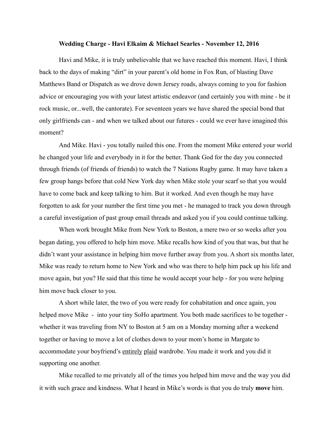## **Wedding Charge - Havi Elkaim & Michael Searles - November 12, 2016**

Havi and Mike, it is truly unbelievable that we have reached this moment. Havi, I think back to the days of making "dirt" in your parent's old home in Fox Run, of blasting Dave Matthews Band or Dispatch as we drove down Jersey roads, always coming to you for fashion advice or encouraging you with your latest artistic endeavor (and certainly you with mine - be it rock music, or...well, the cantorate). For seventeen years we have shared the special bond that only girlfriends can - and when we talked about our futures - could we ever have imagined this moment?

 And Mike. Havi - you totally nailed this one. From the moment Mike entered your world he changed your life and everybody in it for the better. Thank God for the day you connected through friends (of friends of friends) to watch the 7 Nations Rugby game. It may have taken a few group hangs before that cold New York day when Mike stole your scarf so that you would have to come back and keep talking to him. But it worked. And even though he may have forgotten to ask for your number the first time you met - he managed to track you down through a careful investigation of past group email threads and asked you if you could continue talking.

 When work brought Mike from New York to Boston, a mere two or so weeks after you began dating, you offered to help him move. Mike recalls how kind of you that was, but that he didn't want your assistance in helping him move further away from you. A short six months later, Mike was ready to return home to New York and who was there to help him pack up his life and move again, but you? He said that this time he would accept your help - for you were helping him move back closer to you.

 A short while later, the two of you were ready for cohabitation and once again, you helped move Mike - into your tiny SoHo apartment. You both made sacrifices to be together whether it was traveling from NY to Boston at 5 am on a Monday morning after a weekend together or having to move a lot of clothes down to your mom's home in Margate to accommodate your boyfriend's entirely plaid wardrobe. You made it work and you did it supporting one another.

 Mike recalled to me privately all of the times you helped him move and the way you did it with such grace and kindness. What I heard in Mike's words is that you do truly **move** him.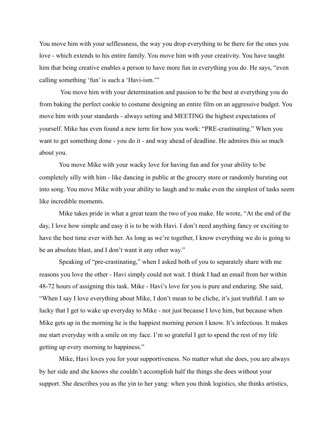You move him with your selflessness, the way you drop everything to be there for the ones you love - which extends to his entire family. You move him with your creativity. You have taught him that being creative enables a person to have more fun in everything you do. He says, "even calling something 'fun' is such a 'Havi-ism.'"

 You move him with your determination and passion to be the best at everything you do from baking the perfect cookie to costume designing an entire film on an aggressive budget. You move him with your standards - always setting and MEETING the highest expectations of yourself. Mike has even found a new term for how you work: "PRE-crastinating." When you want to get something done - you do it - and way ahead of deadline. He admires this so much about you.

You move Mike with your wacky love for having fun and for your ability to be completely silly with him - like dancing in public at the grocery store or randomly bursting out into song. You move Mike with your ability to laugh and to make even the simplest of tasks seem like incredible moments.

Mike takes pride in what a great team the two of you make. He wrote, "At the end of the day, I love how simple and easy it is to be with Havi. I don't need anything fancy or exciting to have the best time ever with her. As long as we're together, I know everything we do is going to be an absolute blast, and I don't want it any other way."

Speaking of "pre-crastinating," when I asked both of you to separately share with me reasons you love the other - Havi simply could not wait. I think I had an email from her within 48-72 hours of assigning this task. Mike - Havi's love for you is pure and enduring. She said, "When I say I love everything about Mike, I don't mean to be cliche, it's just truthful. I am so lucky that I get to wake up everyday to Mike - not just because I love him, but because when Mike gets up in the morning he is the happiest morning person I know. It's infectious. It makes me start everyday with a smile on my face. I'm so grateful I get to spend the rest of my life getting up every morning to happiness."

Mike, Havi loves you for your supportiveness. No matter what she does, you are always by her side and she knows she couldn't accomplish half the things she does without your support. She describes you as the yin to her yang: when you think logistics, she thinks artistics,